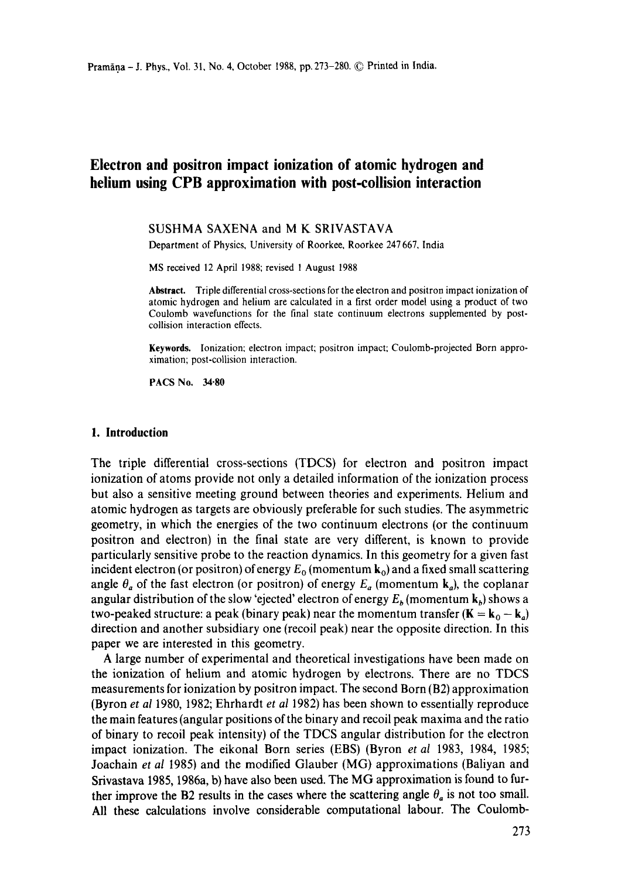# **Electron and positron impact ionization of atomic hydrogen and helium using CPB approximation with post-collision interaction**

#### SUSHMA SAXENA and M K SRIVASTAVA

Department of Physics, University of Roorkee, Roorkee 247667, India

MS received 12 April 1988; revised 1 August 1988

**Abstract.** Triple differential cross-sections for the electron and positron impact ionization of atomic hydrogen and helium are calculated in a first order model using a product of two Coulomb wavefunctions for the final state continuum electrons supplemented by postcollision interaction effects.

**Keywords.** Ionization: electron impact; positron impact; Coulomb-projected Born approximation; post-collision interaction.

**PACS No. 34-80** 

#### **1. Introduction**

The triple differential cross-sections (TDCS) for electron and positron impact ionization of atoms provide not only a detailed information of the ionization process but also a sensitive meeting ground between theories and experiments. Helium and atomic hydrogen as targets are obviously preferable for such studies. The asymmetric geometry, in which the energies of the two continuum electrons (or the continuum positron and electron) in the final state are very different, is known to provide particularly sensitive probe to the reaction dynamics. In this geometry for a given fast incident electron (or positron) of energy  $E_0$  (momentum  $k_0$ ) and a fixed small scattering angle  $\theta_a$  of the fast electron (or positron) of energy  $E_a$  (momentum  $k_a$ ), the coplanar angular distribution of the slow 'ejected' electron of energy  $E_b$  (momentum  $k_b$ ) shows a two-peaked structure: a peak (binary peak) near the momentum transfer ( $\mathbf{K} = \mathbf{k}_0 - \mathbf{k}_a$ ) direction and another subsidiary one (recoil peak) near the opposite direction. In this paper we are interested in this geometry.

A large number of experimental and theoretical investigations have been made on the ionization of helium and atomic hydrogen by electrons. There are no TDCS measurements for ionization by positron impact. The second Born (B2) approximation (Byron *et al* 1980, 1982; Ehrhardt *et al* 1982) has been shown to essentially reproduce the main features (angular positions of the binary and recoil peak maxima and the ratio of binary to recoil peak intensity) of the TDCS angular distribution for the electron impact ionization. The eikonal Born series (EBS) (Byron *et al* 1983, 1984, 1985; Joachain *et al* 1985) and the modified Glauber (MG) approximations (Baliyan and Srivastava 1985, 1986a, b) have also been used. The MG approximation is found to further improve the B2 results in the cases where the scattering angle  $\theta_a$  is not too small. All these calculations involve considerable computational labour. The Coulomb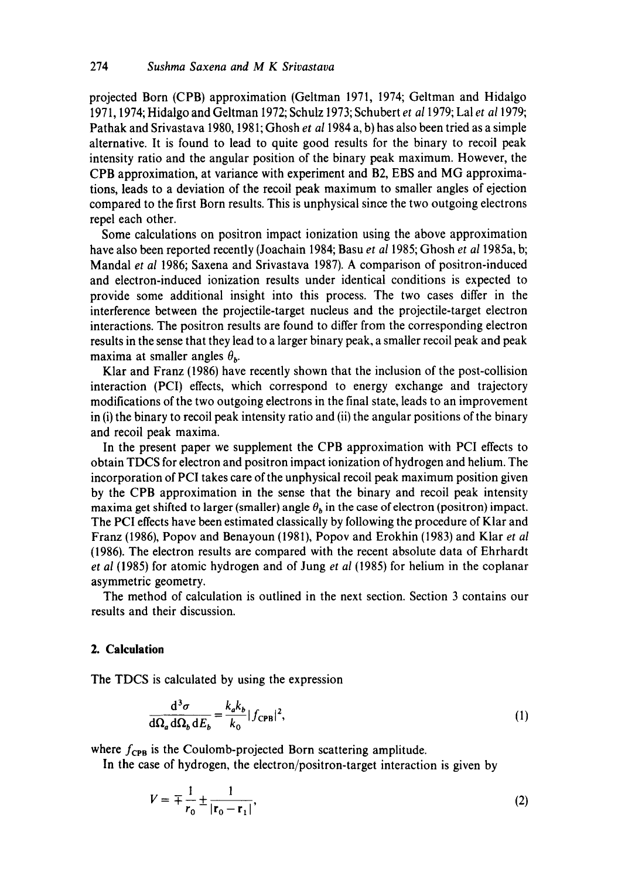projected Born (CPB) approximation (Geltman 1971, 1974; Geltman and Hidalgo 1971, 1974; Hidalgo and Geltman 1972; Schulz 1973; Schubert *et a11979;* Lal *et a11979;*  Pathak and Srivastava 1980, 1981; Ghosh *et a11984* a, b) has also been tried as a simple alternative. It is found to lead to quite good results for the binary to recoil peak intensity ratio and the angular position of the binary peak maximum. However, the CPB approximation, at variance with experiment and B2, EBS and MG approximations, leads to a deviation of the recoil peak maximum to smaller angles of ejection compared to the first Born results. This is unphysical since the two outgoing electrons repel each other.

Some calculations on positron impact ionization using the above approximation have also been reported recently (Joachain 1984; Basu *et al* 1985; Ghosh *et a11985a,* b; Mandal *et al* 1986; Saxena and Srivastava 1987). A comparison of positron-induced and electron-induced ionization results under identical conditions is expected to provide some additional insight into this process. The two cases differ in the interference between the projectile-target nucleus and the projectile-target electron interactions. The positron results are found to differ from the corresponding electron results in the sense that they lead to a larger binary peak, a smaller recoil peak and peak maxima at smaller angles  $\theta_h$ .

Klar and Franz (1986) have recently shown that the inclusion of the post-collision interaction (PCI) effects, which correspond to energy exchange and trajectory modifications of the two outgoing electrons in the final state, leads to an improvement in (i) the binary to recoil peak intensity ratio and (ii) the angular positions of the binary and recoil peak maxima.

In the present paper we supplement the CPB approximation with PCI effects to obtain TDCS for electron and positron impact ionization of hydrogen and helium. The incorporation of PCI takes care of the unphysical recoil peak maximum position given by the CPB approximation in the sense that the binary and recoil peak intensity maxima get shifted to larger (smaller) angle  $\theta_h$  in the case of electron (positron) impact. The PCI effects have been estimated classically by following the procedure of Klar and Franz (1986), Popov and Benayoun (1981), Popov and Erokhin (1983) and Klar *et al*  (1986). The electron results are compared with the recent absolute data of Ehrhardt *et al* (1985) for atomic hydrogen and of Jung *et al* (1985) for helium in the coplanar asymmetric geometry.

The method of calculation is outlined in the next section. Section 3 contains our results and their discussion.

# **2. Calculation**

The TDCS is calculated by using the expression

$$
\frac{\mathrm{d}^3 \sigma}{\mathrm{d}\Omega_a \,\mathrm{d}\Omega_b \,\mathrm{d}E_b} = \frac{k_a k_b}{k_0} |f_{\text{CPB}}|^2,\tag{1}
$$

where  $f_{\text{CPB}}$  is the Coulomb-projected Born scattering amplitude.

In the case of hydrogen, the electron/positron-target interaction is given by

$$
V = \mp \frac{1}{r_0} \pm \frac{1}{|r_0 - r_1|},
$$
 (2)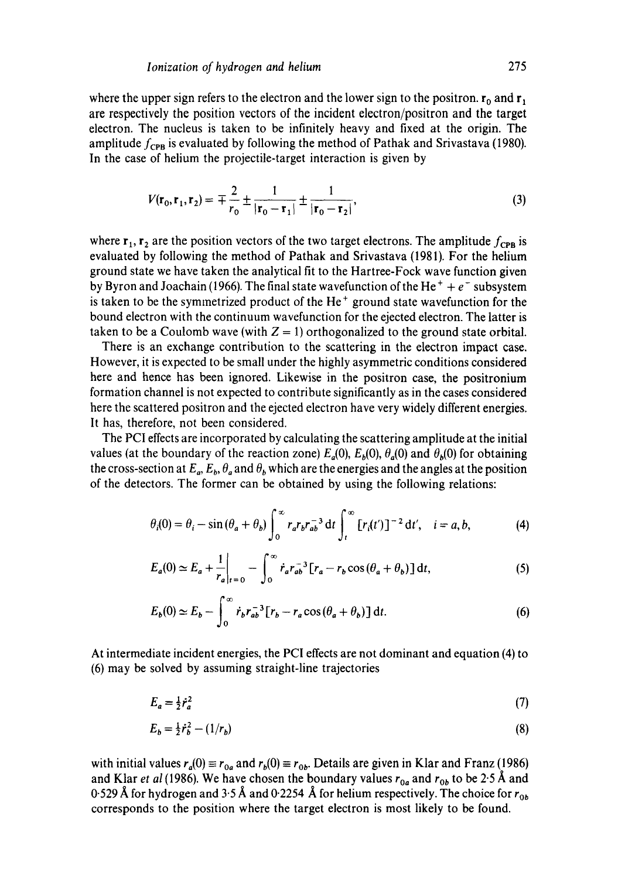where the upper sign refers to the electron and the lower sign to the positron,  $\mathbf{r}_0$  and  $\mathbf{r}_1$ are respectively the position vectors of the incident electron/positron and the target electron. The nucleus is taken to be infinitely heavy and fixed at the origin. The amplitude  $f_{\text{CPB}}$  is evaluated by following the method of Pathak and Srivastava (1980). In the case of helium the projectile-target interaction is given by

$$
V(\mathbf{r}_0, \mathbf{r}_1, \mathbf{r}_2) = \mp \frac{2}{r_0} \pm \frac{1}{|\mathbf{r}_0 - \mathbf{r}_1|} \pm \frac{1}{|\mathbf{r}_0 - \mathbf{r}_2|},
$$
(3)

where  $r_1$ ,  $r_2$  are the position vectors of the two target electrons. The amplitude  $f_{CPB}$  is evaluated by following the method of Pathak and Srivastava (1981). For the helium ground state we have taken the analytical fit to the Hartree-Fock wave function given by Byron and Joachain (1966). The final state wavefunction of the He<sup>+</sup> +  $e^-$  subsystem is taken to be the symmetrized product of the  $He<sup>+</sup>$  ground state wavefunction for the bound electron with the continuum wavefunction for the ejected electron. The latter is taken to be a Coulomb wave (with  $Z = 1$ ) orthogonalized to the ground state orbital.

There is an exchange contribution to the scattering in the electron impact case. However, it is expected to be small under the highly asymmetric conditions considered here and hence has been ignored. Likewise in the positron case, the positronium formation channel is not expected to contribute significantly as in the cases considered here the scattered positron and the ejected electron have very widely different energies. It has, therefore, not been considered.

The PCI effects are incorporated by calculating the scattering amplitude at the initial values (at the boundary of the reaction zone)  $E_a(0)$ ,  $E_b(0)$ ,  $\theta_a(0)$  and  $\theta_b(0)$  for obtaining the cross-section at  $E_a$ ,  $E_b$ ,  $\theta_a$  and  $\theta_b$  which are the energies and the angles at the position of the detectors. The former can be obtained by using the following relations:

$$
\theta_i(0) = \theta_i - \sin(\theta_a + \theta_b) \int_0^\infty r_a r_b r_{ab}^{-3} dt \int_t^\infty [r_i(t')]^{-2} dt', \quad i = a, b,
$$
 (4)

$$
E_a(0) \simeq E_a + \frac{1}{r_a}\bigg|_{t=0} - \int_0^\infty \dot{r}_a r_{ab}^{-3} [r_a - r_b \cos(\theta_a + \theta_b)] dt,
$$
 (5)

$$
E_b(0) \simeq E_b - \int_0^\infty \dot{r}_b r_{ab}^{-3} \left[ r_b - r_a \cos(\theta_a + \theta_b) \right] dt.
$$
 (6)

At intermediate incident energies, the PCI effects are not dominant and equation (4) to (6) may be solved by assuming straight-line trajectories

$$
E_a = \frac{1}{2}\dot{r}_a^2\tag{7}
$$

$$
E_b = \frac{1}{2} \dot{r}_b^2 - (1/r_b) \tag{8}
$$

with initial values  $r_a(0) \equiv r_{0a}$  and  $r_b(0) \equiv r_{0b}$ . Details are given in Klar and Franz (1986) and Klar *et al* (1986). We have chosen the boundary values  $r_{0a}$  and  $r_{0b}$  to be 2.5 Å and 0.529 Å for hydrogen and 3.5 Å and 0.2254 Å for helium respectively. The choice for  $r_{0b}$ corresponds to the position where the target electron is most likely to be found.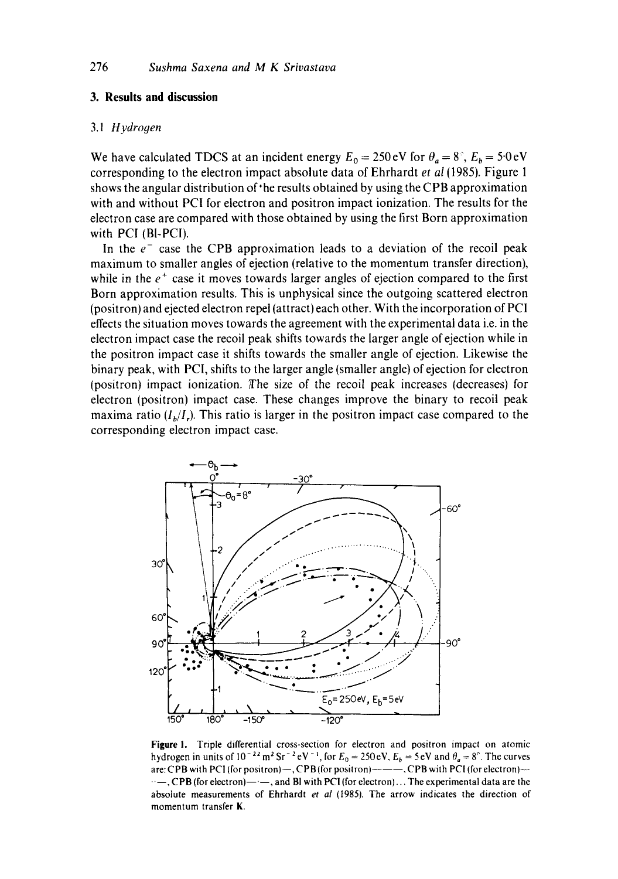### **3. Results and discussion**

### 3.1 *Hydrogen*

We have calculated TDCS at an incident energy  $E_0 = 250 \text{ eV}$  for  $\theta_a = 8^\circ$ ,  $E_b = 5.0 \text{ eV}$ corresponding to the electron impact absolute data of Ehrhardt *et al* (1985). Figure 1 shows the angular distribution of the results obtained by using the CPB approximation with and without PCI for electron and positron impact ionization. The results for the electron case are compared with those obtained by using the first Born approximation with PCI (BI-PCI).

In the  $e^-$  case the CPB approximation leads to a deviation of the recoil peak maximum to smaller angles of ejection (relative to the momentum transfer direction), while in the  $e^+$  case it moves towards larger angles of ejection compared to the first Born approximation results. This is unphysical since the outgoing scattered electron (positron) and ejected electron repel (attract) each other. With the incorporation of PCI effects the situation moves towards the agreement with the experimental data i.e. in the electron impact case the recoil peak shifts towards the larger angle of ejection while in the positron impact case it shifts towards the smaller angle of ejection. Likewise the binary peak, with PCI, shifts to the larger angle (smaller angle) of ejection for electron (positron) impact ionization. The size of the recoil peak increases (decreases) for electron (positron) impact case. These changes improve the binary to recoil peak maxima ratio  $(I_h/I_r)$ . This ratio is larger in the positron impact case compared to the corresponding electron impact case,



Figure I. Triple differential cross-section for electron and positron impact on atomic hydrogen in units of  $10^{-22}$  m<sup>2</sup> Sr<sup>-2</sup> eV<sup>-1</sup>, for  $E_0 = 250$  eV,  $E_b = 5$  eV and  $\theta_a = 8^\circ$ . The curves are: CPB with PCI (for positron)-, CPB (for positron)-----, CPB with PCI (for electron)-- $\cdots$ , CPB (for electron)- $\cdots$ , and BI with PCI (for electron)... The experimental data are the absolute measurements of Ehrhardt *et al* (1985). The arrow indicates the direction of momentum transfer K.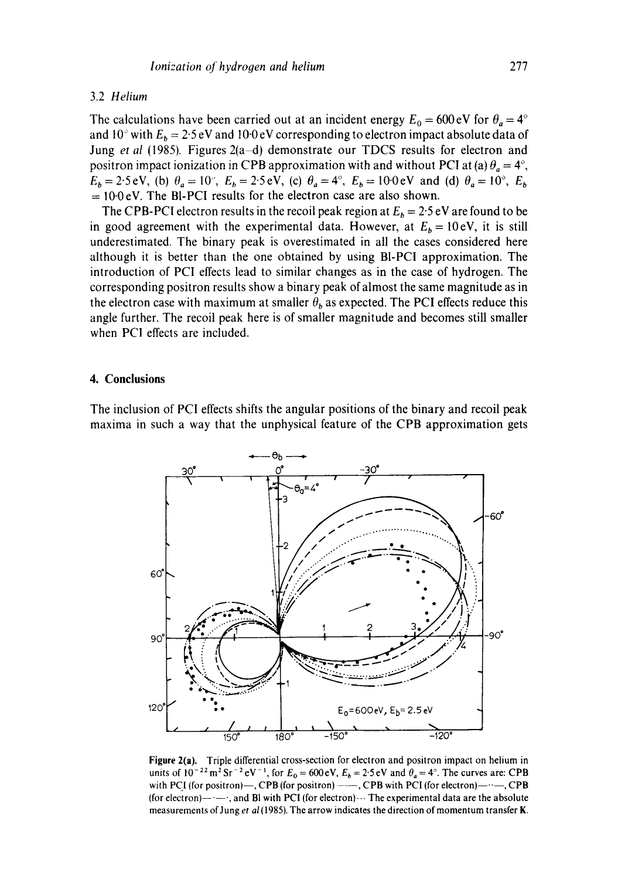#### 3.2 *Helium*

The calculations have been carried out at an incident energy  $E_0 = 600 \text{ eV}$  for  $\theta_a = 4^\circ$ and 10° with  $E_b = 2.5$  eV and 100 eV corresponding to electron impact absolute data of Jung *et al* (1985). Figures 2(a-d) demonstrate our TDCS results for electron and positron impact ionization in CPB approximation with and without PCI at (a)  $\theta_a = 4^\circ$ ,  $E_b = 2.5 \text{ eV}$ , (b)  $\theta_a = 10^\circ$ ,  $E_b = 2.5 \text{ eV}$ , (c)  $\theta_a = 4^\circ$ ,  $E_b = 10.0 \text{ eV}$  and (d)  $\theta_a = 10^\circ$ ,  $E_b$  $= 10.0$  eV. The BI-PCI results for the electron case are also shown.

The CPB-PCI electron results in the recoil peak region at  $E_b = 2.5 \text{ eV}$  are found to be in good agreement with the experimental data. However, at  $E<sub>b</sub> = 10eV$ , it is still underestimated. The binary peak is overestimated in all the cases considered here although it is better than the one obtained by using BI-PCI approximation. The introduction of PCI effects lead to similar changes as in the case of hydrogen. The corresponding positron results show a binary peak of almost the same magnitude as in the electron case with maximum at smaller  $\theta_b$  as expected. The PCI effects reduce this angle further. The recoil peak here is of smaller magnitude and becomes still smaller when PCI effects are included.

## **4. Conclusions**

The inclusion of PCI effects shifts the angular positions of the binary and recoil peak maxima in such a way that the unphysical feature of the CPB approximation gets



Figure 2(a). Triple differential cross-section for electron and positron impact on helium in units of  $10^{-22}$  m<sup>2</sup> Sr<sup>-2</sup> eV<sup>-1</sup>, for  $E_0 = 600$  eV,  $E_b = 2.5$  eV and  $\theta_a = 4^\circ$ . The curves are: CPB with PCI (for positron)--, CPB (for positron)  $--$ , CPB with PCI (for electron)- $--$ , CPB (for electron)- $-$ , and Bl with PCI (for electron) $\cdots$  The experimental data are the absolute measurements of Jung *et al (1985).* The arrow indicates the direction of momentum transfer K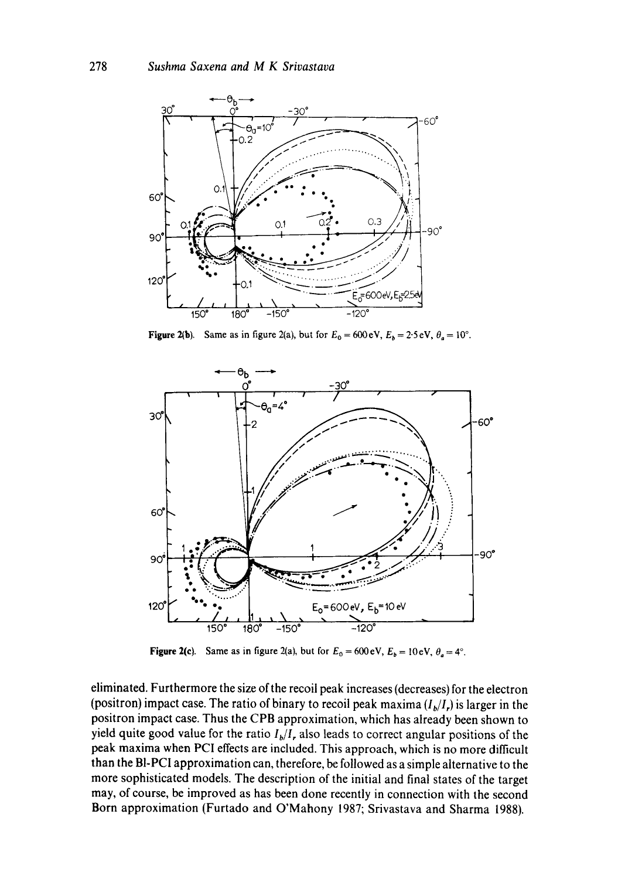

Figure 2(b). Same as in figure 2(a), but for  $E_0 = 600 \text{ eV}$ ,  $E_b = 2.5 \text{ eV}$ ,  $\theta_a = 10^\circ$ .



Figure 2(c). Same as in figure 2(a), but for  $E_0 = 600 \text{ eV}$ ,  $E_b = 10 \text{ eV}$ ,  $\theta_a = 4^\circ$ .

eliminated. Furthermore the size of the recoil peak increases (decreases) for the electron (positron) impact case. The ratio of binary to recoil peak maxima  $(I_b/I_r)$  is larger in the positron impact case. Thus the CPB approximation, which has already been shown to yield quite good value for the ratio  $I_b/I$ , also leads to correct angular positions of the peak maxima when PCI effects are included. This approach, which is no more difficult than the BI-PCI approximation can, therefore, be followed as a simple alternative to the more sophisticated models. The description of the initial and final states of the target may, of course, be improved as has been done recently in connection with the second Born approximation (Furtado and O'Mahony 1987; Srivastava and Sharma 1988).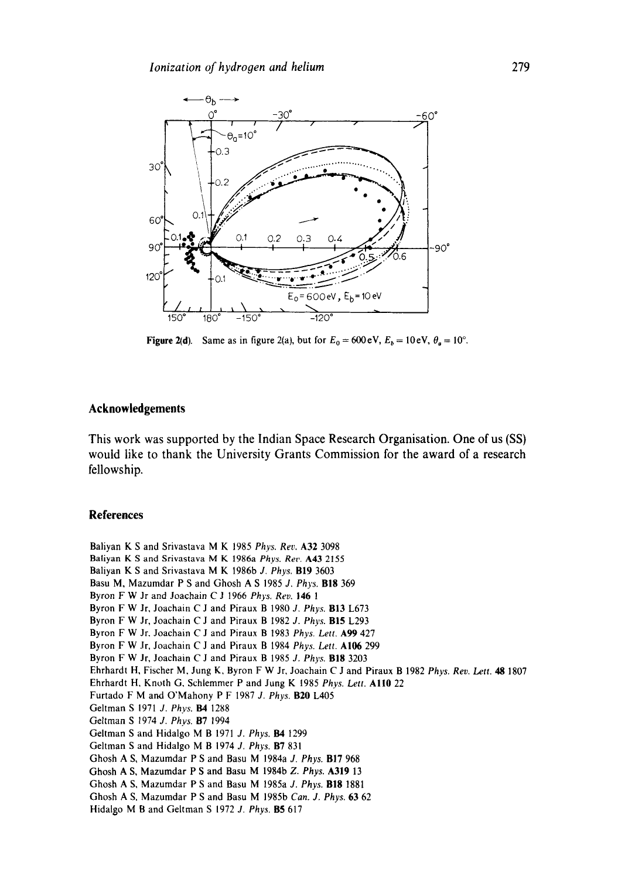

Figure 2(d). Same as in figure 2(a), but for  $E_0 = 600 \text{ eV}$ ,  $E_b = 10 \text{ eV}$ ,  $\theta_a = 10^{\circ}$ .

# **Acknowledgements**

**This work was supported by the Indian Space Research Organisation. One of us (SS) would like to thank the University Grants Commission for the award of a research fellowship.** 

#### **References**

Baliyan K S and Srivastava M K 1985 *Phys. Rev.* A32 3098 Baliyan K S and Srivastava M K 1986a *Phys. Rev.* A43 2155 Baliyan K S and Srivastava M K 1986b *J. Phys.* B19 3603 Basu M, Mazumdar P S and Ghosh A S 1985 *J. Phys.* BIg 369 Byron F W Jr and Joachain C J 1966 *Phys. Rev.* 146 1 Byron F W Jr, Joachain C J and Piraux B 1980 *J. Phys.* BI3 L673 Byron F W Jr, Joachain C J and Piraux B 1982 *J. Phys.* BI5 L293 Byron F W Jr. Joachain C J and Piraux B 1983 *Phys. Lett.* A99 427 Byron F W Jr, Joachain C J and Piraux B 1984 *Phys. Lett. AI06* 299 Byron F W Jr, Joachain C J and Piraux B 1985 *J. Phys.* BI8 3203 Ehrhardt H, Fischer M, Jung K, Byron F W Jr, Joachain C J and Piraux B 1982 *Phys. Rev. Lett. 48* 1807 Ehrhardt H, Knoth G, Schlemmer P and Jung K 1985 *Phys. Lett.* All0 *22*  Furtado F M and O'Mahony P F 1987 *J. Phys.* B20 L405 Geltman S 1971 *J. Phys.* **B4** 1288 Geltman S 1974 *J. Phys.* **B7** 1994 Geltman S and Hidalgo M B 1971 *J. Phys.* **B4** 1299 Geltman S and Hidalgo M B 1974 *J. Phys.* B7 831 Ghosh A S, Mazumdar P S and Basu M 1984a *J. Phys.* BI7 968 Ghosh A S, Mazumdar P S and Basu M 1984b *Z. Phys.* A319 13 Ghosh A S, Mazumdar P S and Basu M 1985a *J. Phys.* BI8 1881 Ghosh A S. Mazumdar P S and Basu M 1985b *Can. J. Phys.* 63 62 Hidalgo M B and Geltman S 1972 *J. Phys.* B5 617